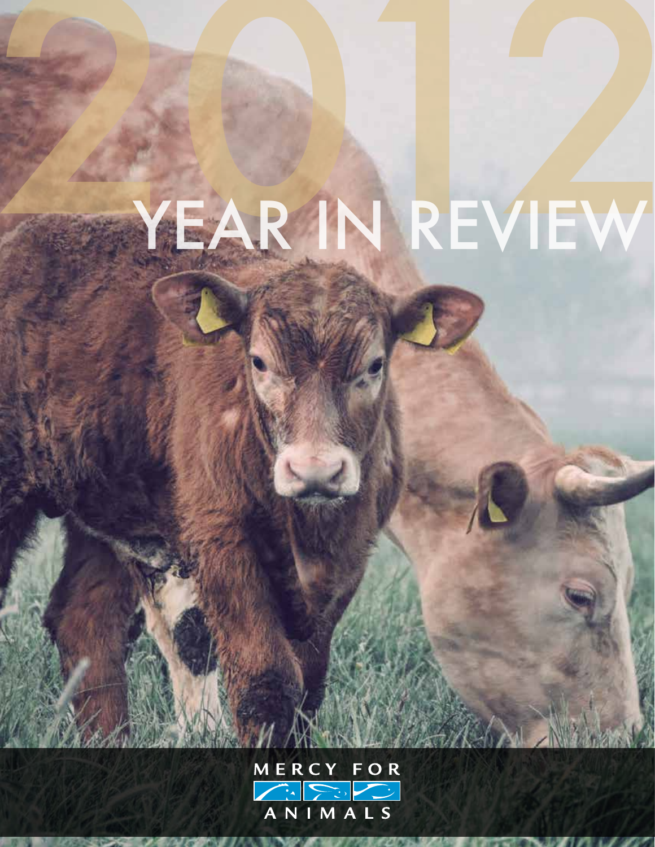## YEAR IN REVIEW

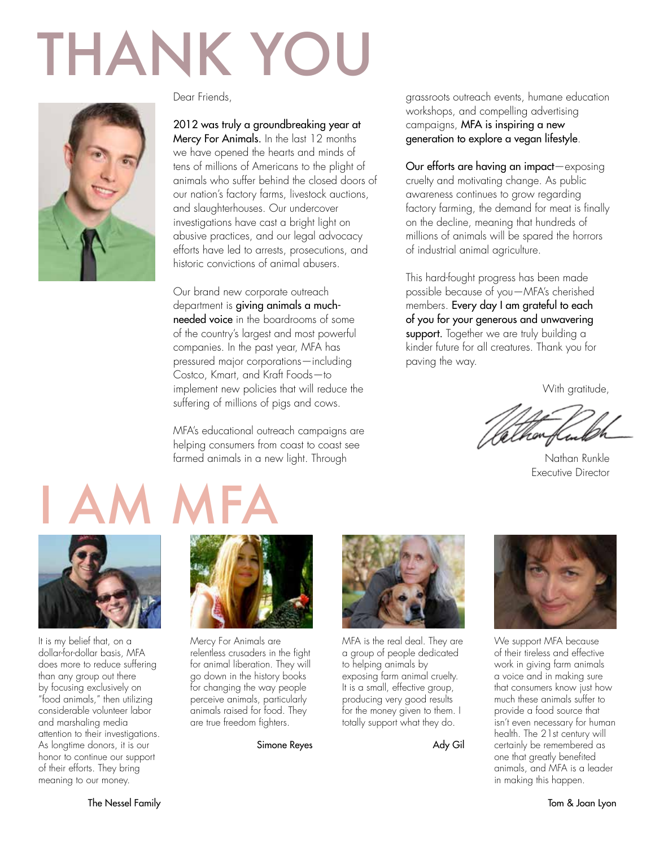## THANK YOU



Dear Friends,

#### 2012 was truly a groundbreaking year at

Mercy For Animals. In the last 12 months we have opened the hearts and minds of tens of millions of Americans to the plight of animals who suffer behind the closed doors of our nation's factory farms, livestock auctions, and slaughterhouses. Our undercover investigations have cast a bright light on abusive practices, and our legal advocacy efforts have led to arrests, prosecutions, and historic convictions of animal abusers.

Our brand new corporate outreach department is giving animals a muchneeded voice in the boardrooms of some of the country's largest and most powerful companies. In the past year, MFA has pressured major corporations—including Costco, Kmart, and Kraft Foods—to implement new policies that will reduce the suffering of millions of pigs and cows.

MFA's educational outreach campaigns are helping consumers from coast to coast see farmed animals in a new light. Through

#### grassroots outreach events, humane education workshops, and compelling advertising campaigns, MFA is inspiring a new generation to explore a vegan lifestyle.

Our efforts are having an impact—exposing cruelty and motivating change. As public awareness continues to grow regarding factory farming, the demand for meat is finally on the decline, meaning that hundreds of millions of animals will be spared the horrors of industrial animal agriculture.

This hard-fought progress has been made possible because of you—MFA's cherished members. Every day I am grateful to each of you for your generous and unwavering support. Together we are truly building a kinder future for all creatures. Thank you for paving the way.

With gratitude,

Nathan Runkle Executive Director



It is my belief that, on a dollar-for-dollar basis, MFA does more to reduce suffering than any group out there by focusing exclusively on "food animals," then utilizing considerable volunteer labor and marshaling media attention to their investigations. As longtime donors, it is our honor to continue our support of their efforts. They bring meaning to our money.



Mercy For Animals are relentless crusaders in the fight for animal liberation. They will go down in the history books for changing the way people perceive animals, particularly animals raised for food. They are true freedom fighters.

Simone Reyes



MFA is the real deal. They are a group of people dedicated to helping animals by exposing farm animal cruelty. It is a small, effective group, producing very good results for the money given to them. I totally support what they do.

Ady Gil



We support MFA because of their tireless and effective work in giving farm animals a voice and in making sure that consumers know just how much these animals suffer to provide a food source that isn't even necessary for human health. The 21st century will certainly be remembered as one that greatly benefited animals, and MFA is a leader in making this happen.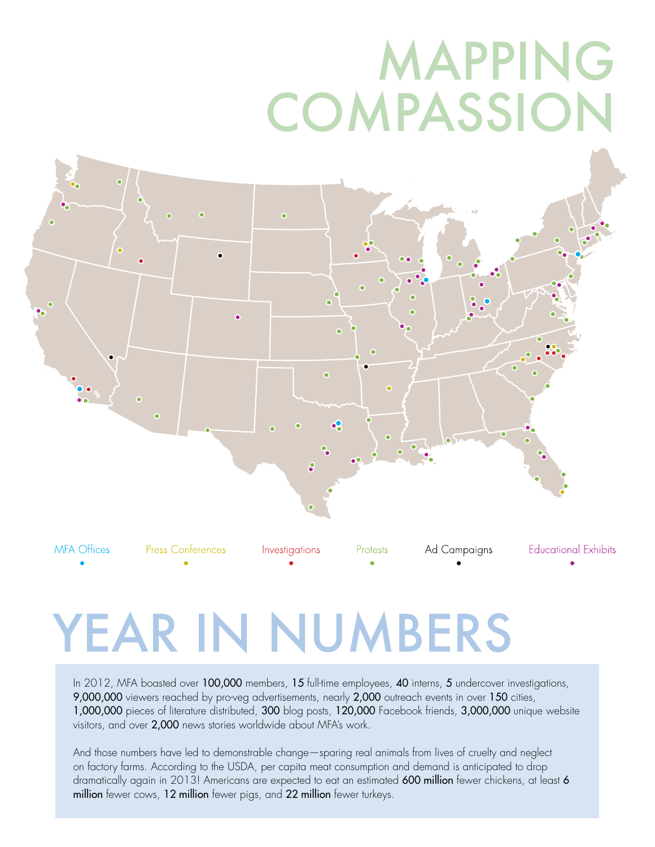### MAPPING **COMPASSION**



### YEAR IN NUMBERS

In 2012, MFA boasted over 100,000 members, 15 full-time employees, 40 interns, 5 undercover investigations, 9,000,000 viewers reached by pro-veg advertisements, nearly 2,000 outreach events in over 150 cities, 1,000,000 pieces of literature distributed, 300 blog posts, 120,000 Facebook friends, 3,000,000 unique website visitors, and over 2,000 news stories worldwide about MFA's work.

And those numbers have led to demonstrable change—sparing real animals from lives of cruelty and neglect on factory farms. According to the USDA, per capita meat consumption and demand is anticipated to drop dramatically again in 2013! Americans are expected to eat an estimated 600 million fewer chickens, at least 6 million fewer cows, 12 million fewer pigs, and 22 million fewer turkeys.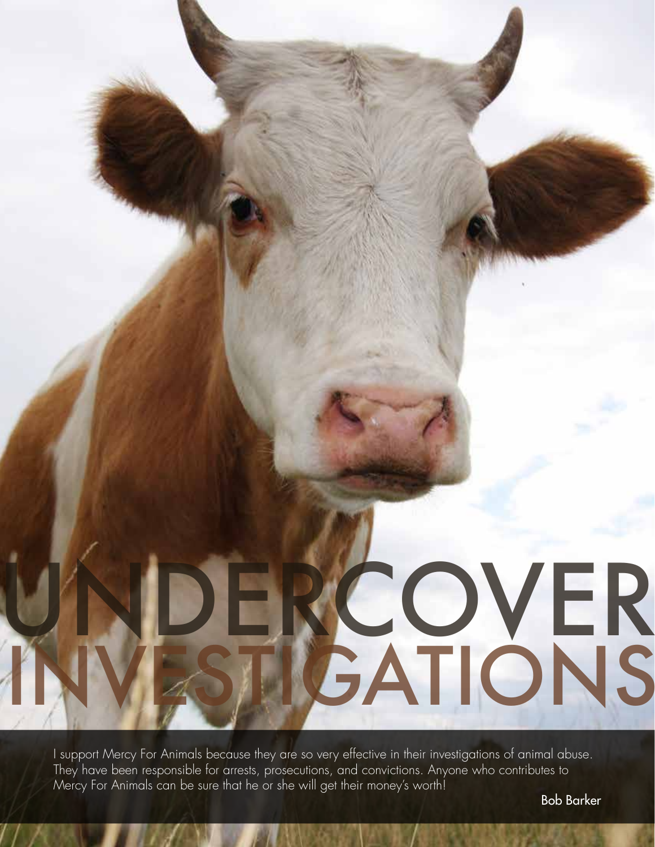

I support Mercy For Animals because they are so very effective in their investigations of animal abuse. They have been responsible for arrests, prosecutions, and convictions. Anyone who contributes to Mercy For Animals can be sure that he or she will get their money's worth!

Bob Barker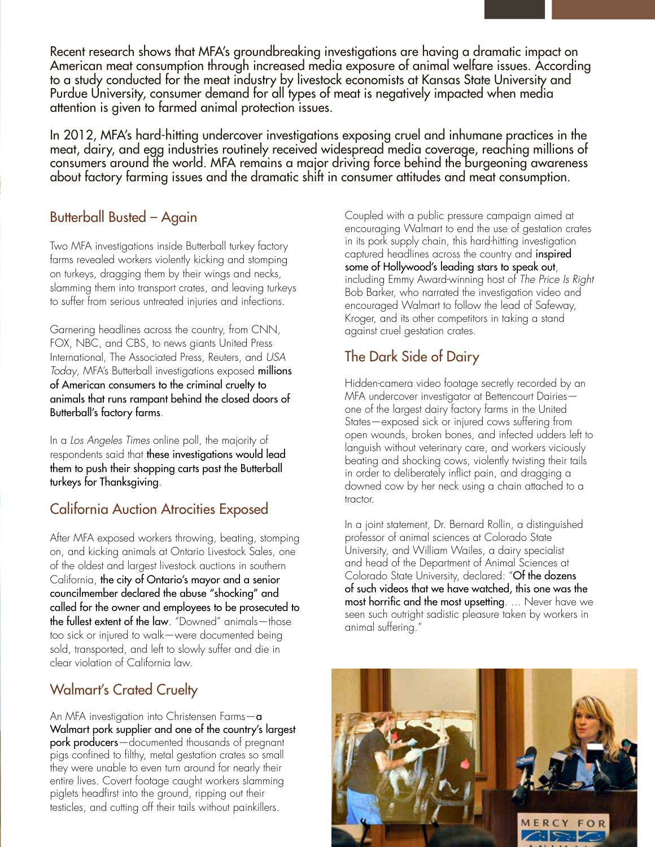Recent research shows that MFA's groundbreaking investigations are having a dramatic impact on American meat consumption through increased media exposure of animal welfare issues. According to a study conducted for the meat industry by livestock economists at Kansas State University and Purdue University, consumer demand for all types of meat is negatively impacted when media attention is given to farmed animal protection issues.

In 2012, MFA's hard-hitting undercover investigations exposing cruel and inhumane practices in the meat, dairy, and egg industries routinely received widespread media coverage, reaching millions of consumers around the world. MFA remains a major driving force behind the burgeoning awareness about factory farming issues and the dramatic shift in consumer attitudes and meat consumption.

### Butterball Busted – Again

Two MFA investigations inside Butterball turkey factory farms revealed workers violently kicking and stomping on turkeys, dragging them by their wings and necks, slamming them into transport crates, and leaving turkeys to suffer from serious untreated injuries and infections.

Garnering headlines across the country, from CNN, FOX, NBC, and CBS, to news giants United Press International, The Associated Press, Reuters, and USA Today, MFA's Butterball investigations exposed millions of American consumers to the criminal cruelty to animals that runs rampant behind the closed doors of Butterball's factory farms.

In a Los Angeles Times online poll, the majority of respondents said that these investigations would lead them to push their shopping carts past the Butterball turkeys for Thanksgiving.

### California Auction Atrocities Exposed

After MFA exposed workers throwing, beating, stomping on, and kicking animals at Ontario Livestock Sales, one of the oldest and largest livestock auctions in southern California, the city of Ontario's mayor and a senior councilmember declared the abuse "shocking" and called for the owner and employees to be prosecuted to the fullest extent of the law. "Downed" animals—those too sick or injured to walk—were documented being sold, transported, and left to slowly suffer and die in clear violation of California law.

### Walmart's Crated Cruelty

UNDER THE CONFIDENTIAL CONTINUES.

INVESTIGATIONS IN THE EXPERIMENT STATE OF STRUCK

An MFA investigation into Christensen Farms-a Walmart pork supplier and one of the country's largest pork producers—documented thousands of pregnant pigs confined to filthy, metal gestation crates so small they were unable to even turn around for nearly their entire lives. Covert footage caught workers slamming piglets headfirst into the ground, ripping out their testicles, and cutting off their tails without painkillers.

Coupled with a public pressure campaign aimed at encouraging Walmart to end the use of gestation crates in its pork supply chain, this hard-hitting investigation captured headlines across the country and inspired some of Hollywood's leading stars to speak out, including Emmy Award-winning host of The Price Is Right Bob Barker, who narrated the investigation video and encouraged Walmart to follow the lead of Safeway, Kroger, and its other competitors in taking a stand against cruel gestation crates.

### The Dark Side of Dairy

Hidden-camera video footage secretly recorded by an MFA undercover investigator at Bettencourt Dairies one of the largest dairy factory farms in the United States—exposed sick or injured cows suffering from open wounds, broken bones, and infected udders left to languish without veterinary care, and workers viciously beating and shocking cows, violently twisting their tails in order to deliberately inflict pain, and dragging a downed cow by her neck using a chain attached to a tractor.

In a joint statement, Dr. Bernard Rollin, a distinguished professor of animal sciences at Colorado State University, and William Wailes, a dairy specialist and head of the Department of Animal Sciences at Colorado State University, declared: "Of the dozens of such videos that we have watched, this one was the most horrific and the most upsetting. ... Never have we seen such outright sadistic pleasure taken by workers in animal suffering."

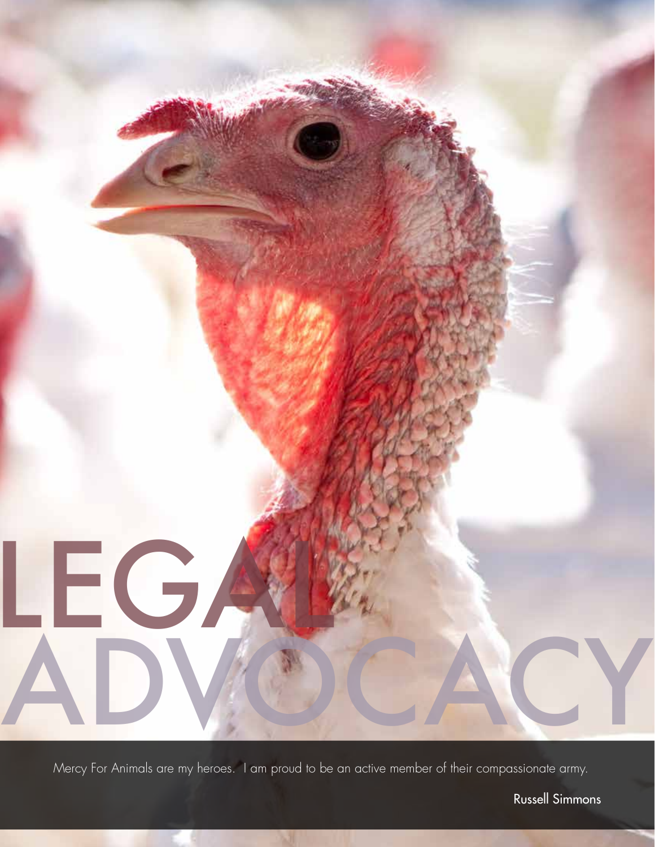

Mercy For Animals are my heroes. I am proud to be an active member of their compassionate army.

Russell Simmons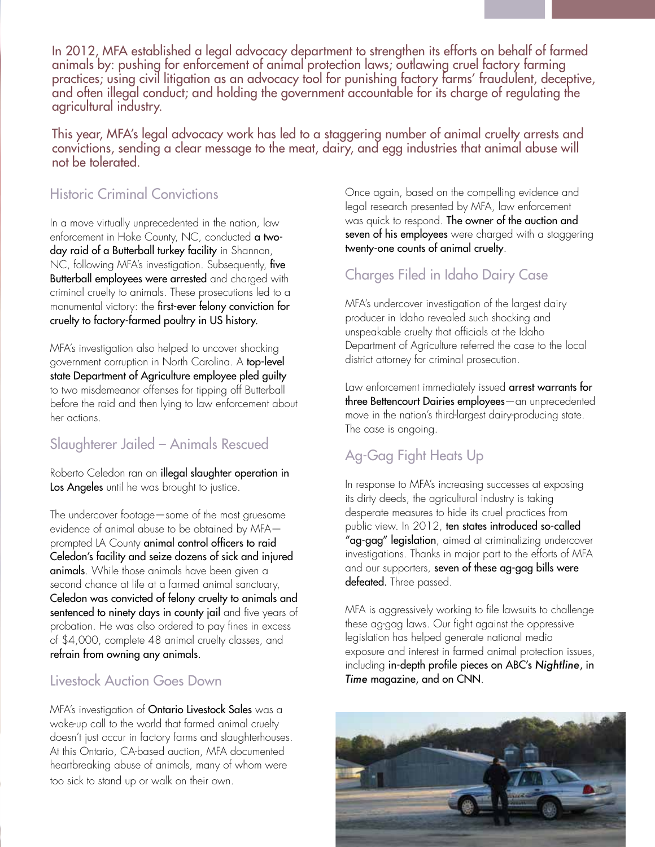In 2012, MFA established a legal advocacy department to strengthen its efforts on behalf of farmed animals by: pushing for enforcement of animal protection laws; outlawing cruel factory farming practices; using civil litigation as an advocacy tool for punishing factory farms' fraudulent, deceptive, and often illegal conduct; and holding the government accountable for its charge of regulating the agricultural industry.

This year, MFA's legal advocacy work has led to a staggering number of animal cruelty arrests and convictions, sending a clear message to the meat, dairy, and egg industries that animal abuse will not be tolerated.

### Historic Criminal Convictions

In a move virtually unprecedented in the nation, law enforcement in Hoke County, NC, conducted a twoday raid of a Butterball turkey facility in Shannon, NC, following MFA's investigation. Subsequently, five Butterball employees were arrested and charged with criminal cruelty to animals. These prosecutions led to a monumental victory: the first-ever felony conviction for cruelty to factory-farmed poultry in US history.

MFA's investigation also helped to uncover shocking government corruption in North Carolina. A top-level state Department of Agriculture employee pled guilty to two misdemeanor offenses for tipping off Butterball before the raid and then lying to law enforcement about her actions.

### Slaughterer Jailed – Animals Rescued

Roberto Celedon ran an illegal slaughter operation in Los Angeles until he was brought to justice.

The undercover footage—some of the most gruesome evidence of animal abuse to be obtained by MFA prompted LA County animal control officers to raid Celedon's facility and seize dozens of sick and injured animals. While those animals have been given a second chance at life at a farmed animal sanctuary, Celedon was convicted of felony cruelty to animals and sentenced to ninety days in county jail and five years of probation. He was also ordered to pay fines in excess of \$4,000, complete 48 animal cruelty classes, and refrain from owning any animals.

### Livestock Auction Goes Down

MFA's investigation of **Ontario Livestock Sales** was a wake-up call to the world that farmed animal cruelty doesn't just occur in factory farms and slaughterhouses. At this Ontario, CA-based auction, MFA documented heartbreaking abuse of animals, many of whom were too sick to stand up or walk on their own.

Once again, based on the compelling evidence and legal research presented by MFA, law enforcement was quick to respond. The owner of the auction and seven of his employees were charged with a staggering twenty-one counts of animal cruelty.

### Charges Filed in Idaho Dairy Case

MFA's undercover investigation of the largest dairy producer in Idaho revealed such shocking and unspeakable cruelty that officials at the Idaho Department of Agriculture referred the case to the local district attorney for criminal prosecution.

Law enforcement immediately issued arrest warrants for three Bettencourt Dairies employees—an unprecedented move in the nation's third-largest dairy-producing state. The case is ongoing.

### Ag-Gag Fight Heats Up

In response to MFA's increasing successes at exposing its dirty deeds, the agricultural industry is taking desperate measures to hide its cruel practices from public view. In 2012, ten states introduced so-called "ag-gag" legislation, aimed at criminalizing undercover investigations. Thanks in major part to the efforts of MFA and our supporters, seven of these ag-gag bills were defeated. Three passed.

MFA is aggressively working to file lawsuits to challenge these ag-gag laws. Our fight against the oppressive legislation has helped generate national media exposure and interest in farmed animal protection issues, including in-depth profile pieces on ABC's *Nightline*, in *Time* magazine, and on CNN.

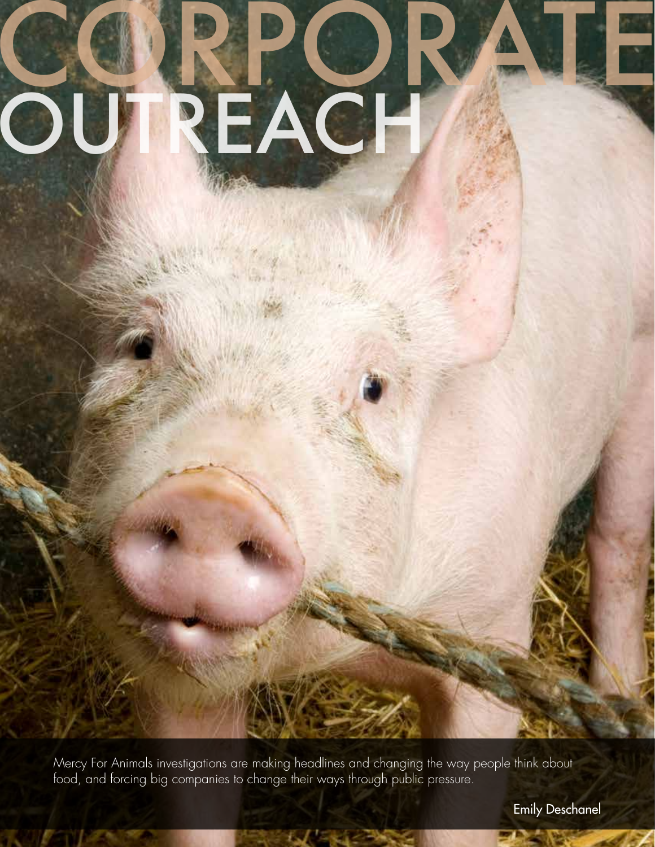## OUTREACH CORPORATE

Mercy For Animals investigations are making headlines and changing the way people think about food, and forcing big companies to change their ways through public pressure.

 $t$   $\sim$   $t$   $\sim$   $t$   $\sim$ 

Emily Deschanel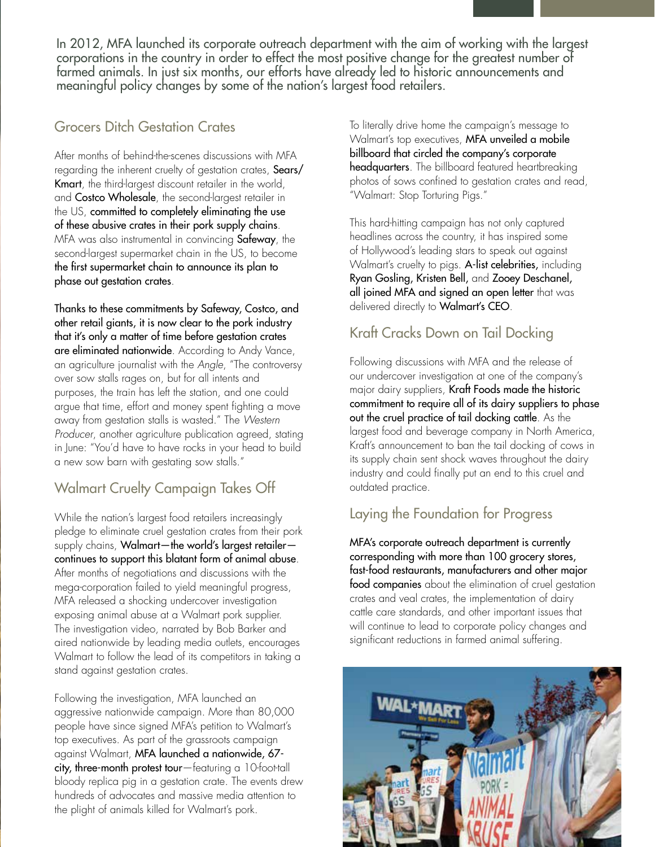In 2012, MFA launched its corporate outreach department with the aim of working with the largest corporations in the country in order to effect the most positive change for the greatest number of farmed animals. In just six months, our efforts have already led to historic announcements and meaningful policy changes by some of the nation's largest food retailers.

### Grocers Ditch Gestation Crates

 $\begin{bmatrix} \phantom{-} \end{bmatrix}$ 

After months of behind-the-scenes discussions with MFA regarding the inherent cruelty of gestation crates, Sears/ Kmart, the third-largest discount retailer in the world, and Costco Wholesale, the second-largest retailer in the US, committed to completely eliminating the use of these abusive crates in their pork supply chains. MFA was also instrumental in convincing Safeway, the second-largest supermarket chain in the US, to become the first supermarket chain to announce its plan to phase out gestation crates.

Thanks to these commitments by Safeway, Costco, and other retail giants, it is now clear to the pork industry that it's only a matter of time before gestation crates are eliminated nationwide. According to Andy Vance, an agriculture journalist with the Angle, "The controversy over sow stalls rages on, but for all intents and purposes, the train has left the station, and one could argue that time, effort and money spent fighting a move away from gestation stalls is wasted." The Western Producer, another agriculture publication agreed, stating in June: "You'd have to have rocks in your head to build a new sow barn with gestating sow stalls."

### Walmart Cruelty Campaign Takes Off

While the nation's largest food retailers increasingly pledge to eliminate cruel gestation crates from their pork supply chains, Walmart—the world's largest retailer continues to support this blatant form of animal abuse. After months of negotiations and discussions with the mega-corporation failed to yield meaningful progress, MFA released a shocking undercover investigation exposing animal abuse at a Walmart pork supplier. The investigation video, narrated by Bob Barker and aired nationwide by leading media outlets, encourages Walmart to follow the lead of its competitors in taking a stand against gestation crates.

Following the investigation, MFA launched an aggressive nationwide campaign. More than 80,000 people have since signed MFA's petition to Walmart's top executives. As part of the grassroots campaign against Walmart, MFA launched a nationwide, 67 city, three-month protest tour—featuring a 10-foot-tall bloody replica pig in a gestation crate. The events drew hundreds of advocates and massive media attention to the plight of animals killed for Walmart's pork.

To literally drive home the campaign's message to Walmart's top executives, **MFA unveiled a mobile** billboard that circled the company's corporate headquarters. The billboard featured heartbreaking photos of sows confined to gestation crates and read, "Walmart: Stop Torturing Pigs."

This hard-hitting campaign has not only captured headlines across the country, it has inspired some of Hollywood's leading stars to speak out against Walmart's cruelty to pigs. A-list celebrities, including Ryan Gosling, Kristen Bell, and Zooey Deschanel, all joined MFA and signed an open letter that was delivered directly to Walmart's CEO.

### Kraft Cracks Down on Tail Docking

Following discussions with MFA and the release of our undercover investigation at one of the company's major dairy suppliers, Kraft Foods made the historic commitment to require all of its dairy suppliers to phase out the cruel practice of tail docking cattle. As the largest food and beverage company in North America, Kraft's announcement to ban the tail docking of cows in its supply chain sent shock waves throughout the dairy industry and could finally put an end to this cruel and outdated practice.

### Laying the Foundation for Progress

MFA's corporate outreach department is currently corresponding with more than 100 grocery stores, fast-food restaurants, manufacturers and other major food companies about the elimination of cruel gestation crates and veal crates, the implementation of dairy cattle care standards, and other important issues that will continue to lead to corporate policy changes and significant reductions in farmed animal suffering.

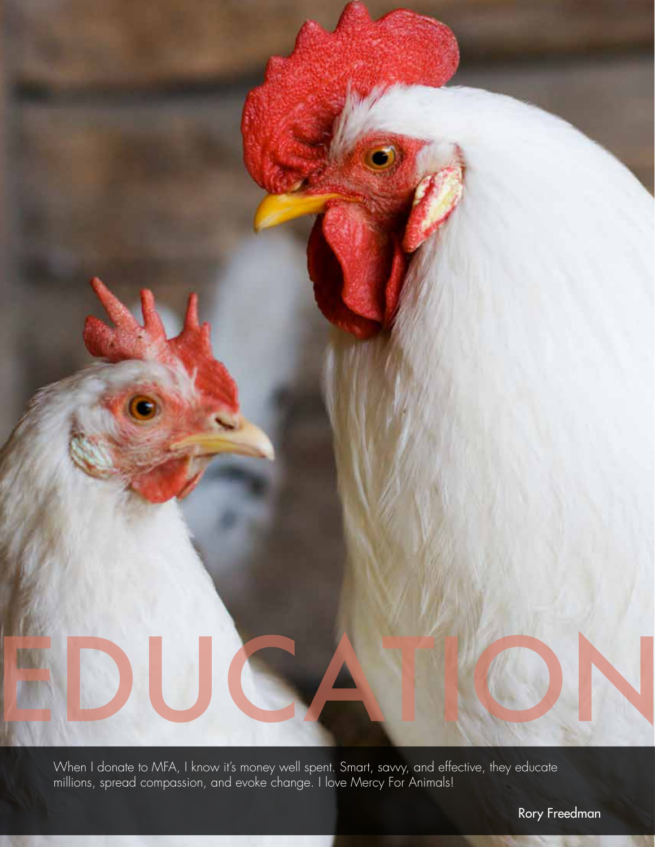

When I donate to MFA, I know it's money well spent. Smart, savvy, and effective, they educate millions, spread compassion, and evoke change. I love Mercy For Animals!

Rory Freedman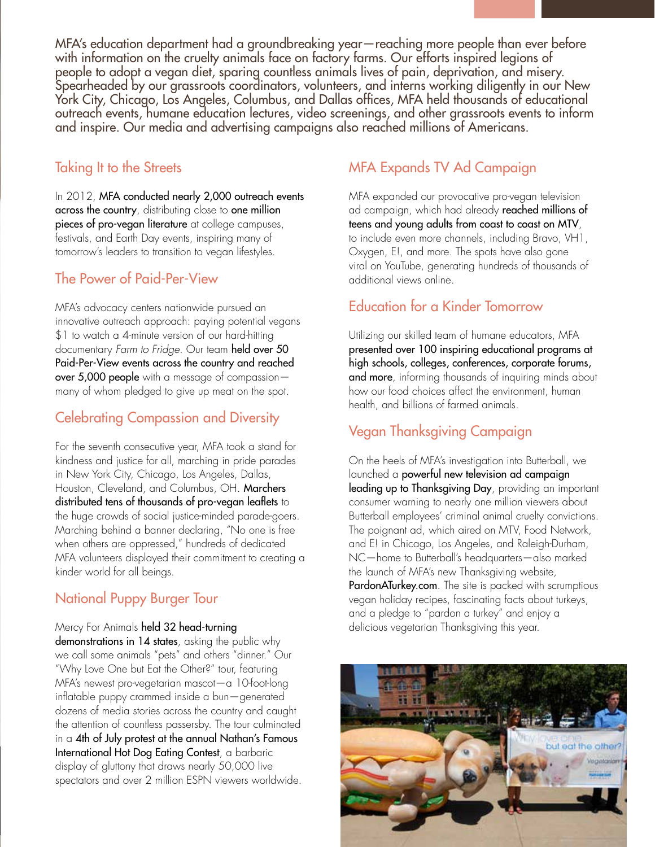MFA's education department had a groundbreaking year—reaching more people than ever before with information on the cruelty animals face on factory farms. Our efforts inspired legions of people to adopt a vegan diet, sparing countless animals lives of pain, deprivation, and misery. Spearheaded by our grassroots coordinators, volunteers, and interns working diligently in our New York City, Chicago, Los Angeles, Columbus, and Dallas offices, MFA held thousands of educational outreach events, humane education lectures, video screenings, and other grassroots events to inform and inspire. Our media and advertising campaigns also reached millions of Americans.

### Taking It to the Streets

In 2012, MFA conducted nearly 2,000 outreach events across the country, distributing close to one million pieces of pro-vegan literature at college campuses, festivals, and Earth Day events, inspiring many of tomorrow's leaders to transition to vegan lifestyles.

### The Power of Paid-Per-View

MFA's advocacy centers nationwide pursued an innovative outreach approach: paying potential vegans \$1 to watch a 4-minute version of our hard-hitting documentary Farm to Fridge. Our team held over 50 Paid-Per-View events across the country and reached over 5,000 people with a message of compassion many of whom pledged to give up meat on the spot.

### Celebrating Compassion and Diversity

For the seventh consecutive year, MFA took a stand for kindness and justice for all, marching in pride parades in New York City, Chicago, Los Angeles, Dallas, Houston, Cleveland, and Columbus, OH. Marchers distributed tens of thousands of pro-vegan leaflets to the huge crowds of social justice-minded parade-goers. Marching behind a banner declaring, "No one is free when others are oppressed," hundreds of dedicated MFA volunteers displayed their commitment to creating a kinder world for all beings.

### National Puppy Burger Tour

Mercy For Animals held 32 head-turning demonstrations in 14 states, asking the public why we call some animals "pets" and others "dinner." Our "Why Love One but Eat the Other?" tour, featuring MFA's newest pro-vegetarian mascot—a 10-foot-long inflatable puppy crammed inside a bun—generated dozens of media stories across the country and caught the attention of countless passersby. The tour culminated in a 4th of July protest at the annual Nathan's Famous International Hot Dog Eating Contest, a barbaric display of gluttony that draws nearly 50,000 live spectators and over 2 million ESPN viewers worldwide.

### MFA Expands TV Ad Campaign

MFA expanded our provocative pro-vegan television ad campaign, which had already reached millions of teens and young adults from coast to coast on MTV, to include even more channels, including Bravo, VH1, Oxygen, E!, and more. The spots have also gone viral on YouTube, generating hundreds of thousands of additional views online.

### Education for a Kinder Tomorrow

Utilizing our skilled team of humane educators, MFA presented over 100 inspiring educational programs at high schools, colleges, conferences, corporate forums, and more, informing thousands of inquiring minds about how our food choices affect the environment, human health, and billions of farmed animals.

### Vegan Thanksgiving Campaign

On the heels of MFA's investigation into Butterball, we launched a powerful new television ad campaign leading up to Thanksgiving Day, providing an important consumer warning to nearly one million viewers about Butterball employees' criminal animal cruelty convictions. The poignant ad, which aired on MTV, Food Network, and E! in Chicago, Los Angeles, and Raleigh-Durham, NC—home to Butterball's headquarters—also marked the launch of MFA's new Thanksgiving website, PardonATurkey.com. The site is packed with scrumptious vegan holiday recipes, fascinating facts about turkeys, and a pledge to "pardon a turkey" and enjoy a delicious vegetarian Thanksgiving this year.